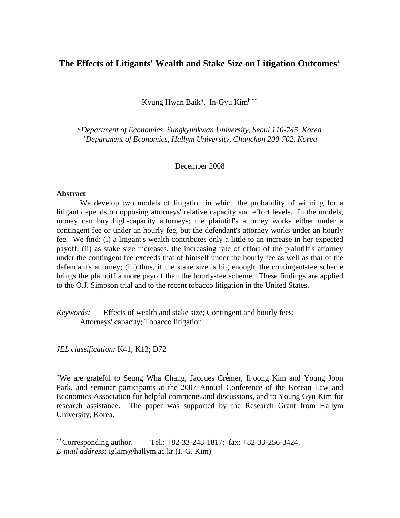# **The Effects of Litigants' Wealth and Stake Size on Litigation Outcomes**‡

Kyung Hwan Baik<sup>a</sup>, In-Gyu Kim<sup>b,\*\*</sup>

<sup>a</sup>*Department of Economics, Sungkyunkwan University, Seoul 110-745, Korea* <sup>b</sup>*Department of Economics, Hallym University, Chunchon 200-702, Korea*

December 2008

# **Abstract**

 We develop two models of litigation in which the probability of winning for a litigant depends on opposing attorneys' relative capacity and effort levels. In the models, money can buy high-capacity attorneys; the plaintiff's attorney works either under a contingent fee or under an hourly fee, but the defendant's attorney works under an hourly fee. We find: (i) a litigant's wealth contributes only a little to an increase in her expected payoff; (ii) as stake size increases, the increasing rate of effort of the plaintiff's attorney under the contingent fee exceeds that of himself under the hourly fee as well as that of the defendant's attorney; (iii) thus, if the stake size is big enough, the contingent-fee scheme brings the plaintiff a more payoff than the hourly-fee scheme. These findings are applied to the O.J. Simpson trial and to the recent tobacco litigation in the United States.

*Keywords:* Effects of wealth and stake size; Contingent and hourly fees; Attorneys' capacity; Tobacco litigation

*JEL classification:* K41; K13; D72

\*We are grateful to Seung Wha Chang, Jacques Cremer, Iljoong Kim and Young Joon <sup>w</sup> Park, and seminar participants at the 2007 Annual Conference of the Korean Law and Economics Association for helpful comments and discussions, and to Young Gyu Kim for research assistance. The paper was supported by the Research Grant from Hallym University, Korea.

\*\*Corresponding author. Tel.:  $+82-33-248-1817$ ; fax:  $+82-33-256-3424$ . *E-mail address:* igkim@hallym.ac.kr (I.-G. Kim)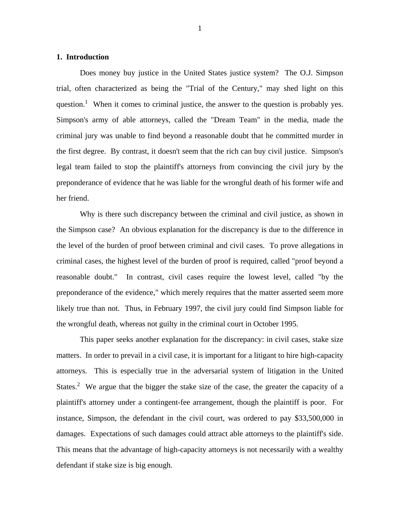# **1. Introduction**

 Does money buy justice in the United States justice system? The O.J. Simpson trial, often characterized as being the "Trial of the Century," may shed light on this question.<sup>1</sup> When it comes to criminal justice, the answer to the question is probably yes. Simpson's army of able attorneys, called the "Dream Team" in the media, made the criminal jury was unable to find beyond a reasonable doubt that he committed murder in the first degree. By contrast, it doesn't seem that the rich can buy civil justice. Simpson's legal team failed to stop the plaintiff's attorneys from convincing the civil jury by the preponderance of evidence that he was liable for the wrongful death of his former wife and her friend.

 Why is there such discrepancy between the criminal and civil justice, as shown in the Simpson case? An obvious explanation for the discrepancy is due to the difference in the level of the burden of proof between criminal and civil cases. To prove allegations in criminal cases, the highest level of the burden of proof is required, called "proof beyond a reasonable doubt." In contrast, civil cases require the lowest level, called "by the preponderance of the evidence," which merely requires that the matter asserted seem more likely true than not. Thus, in February 1997, the civil jury could find Simpson liable for the wrongful death, whereas not guilty in the criminal court in October 1995.

 This paper seeks another explanation for the discrepancy: in civil cases, stake size matters. In order to prevail in a civil case, it is important for a litigant to hire high-capacity attorneys. This is especially true in the adversarial system of litigation in the United States.<sup>2</sup> We argue that the bigger the stake size of the case, the greater the capacity of a plaintiff's attorney under a contingent-fee arrangement, though the plaintiff is poor. For instance, Simpson, the defendant in the civil court, was ordered to pay \$33,500,000 in damages. Expectations of such damages could attract able attorneys to the plaintiff's side. This means that the advantage of high-capacity attorneys is not necessarily with a wealthy defendant if stake size is big enough.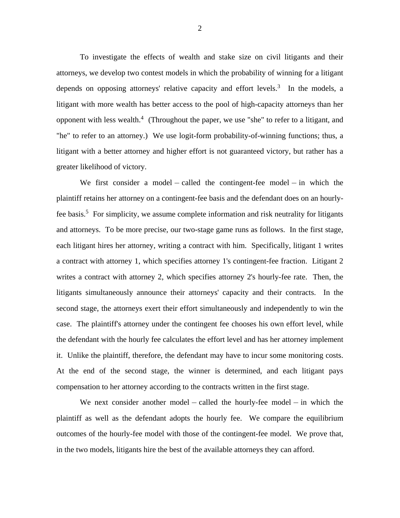To investigate the effects of wealth and stake size on civil litigants and their attorneys, we develop two contest models in which the probability of winning for a litigant depends on opposing attorneys' relative capacity and effort levels.<sup>3</sup> In the models, a litigant with more wealth has better access to the pool of high-capacity attorneys than her opponent with less wealth. $\frac{4}{7}$  (Throughout the paper, we use "she" to refer to a litigant, and "he" to refer to an attorney.) We use logit-form probability-of-winning functions; thus, a litigant with a better attorney and higher effort is not guaranteed victory, but rather has a greater likelihood of victory.

We first consider a model – called the contingent-fee model – in which the plaintiff retains her attorney on a contingent-fee basis and the defendant does on an hourlyfee basis.<sup>5</sup> For simplicity, we assume complete information and risk neutrality for litigants and attorneys. To be more precise, our two-stage game runs as follows. In the first stage, each litigant hires her attorney, writing a contract with him. Specifically, litigant 1 writes a contract with attorney 1, which specifies attorney 1's contingent-fee fraction. Litigant 2 writes a contract with attorney 2, which specifies attorney 2's hourly-fee rate. Then, the litigants simultaneously announce their attorneys' capacity and their contracts. In the second stage, the attorneys exert their effort simultaneously and independently to win the case. The plaintiff's attorney under the contingent fee chooses his own effort level, while the defendant with the hourly fee calculates the effort level and has her attorney implement it. Unlike the plaintiff, therefore, the defendant may have to incur some monitoring costs. At the end of the second stage, the winner is determined, and each litigant pays compensation to her attorney according to the contracts written in the first stage.

We next consider another model – called the hourly-fee model – in which the plaintiff as well as the defendant adopts the hourly fee. We compare the equilibrium outcomes of the hourly-fee model with those of the contingent-fee model. We prove that, in the two models, litigants hire the best of the available attorneys they can afford.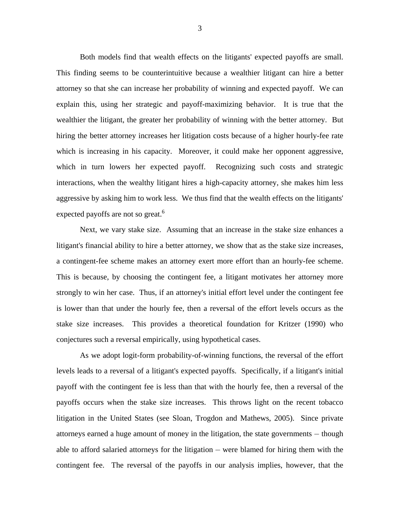Both models find that wealth effects on the litigants' expected payoffs are small. This finding seems to be counterintuitive because a wealthier litigant can hire a better attorney so that she can increase her probability of winning and expected payoff. We can explain this, using her strategic and payoff-maximizing behavior. It is true that the wealthier the litigant, the greater her probability of winning with the better attorney. But hiring the better attorney increases her litigation costs because of a higher hourly-fee rate which is increasing in his capacity. Moreover, it could make her opponent aggressive, which in turn lowers her expected payoff. Recognizing such costs and strategic interactions, when the wealthy litigant hires a high-capacity attorney, she makes him less aggressive by asking him to work less. We thus find that the wealth effects on the litigants' expected payoffs are not so great.<sup>6</sup>

 Next, we vary stake size. Assuming that an increase in the stake size enhances a litigant's financial ability to hire a better attorney, we show that as the stake size increases, a contingent-fee scheme makes an attorney exert more effort than an hourly-fee scheme. This is because, by choosing the contingent fee, a litigant motivates her attorney more strongly to win her case. Thus, if an attorney's initial effort level under the contingent fee is lower than that under the hourly fee, then a reversal of the effort levels occurs as the stake size increases. This provides a theoretical foundation for Kritzer (1990) who conjectures such a reversal empirically, using hypothetical cases.

 As we adopt logit-form probability-of-winning functions, the reversal of the effort levels leads to a reversal of a litigant's expected payoffs. Specifically, if a litigant's initial payoff with the contingent fee is less than that with the hourly fee, then a reversal of the payoffs occurs when the stake size increases. This throws light on the recent tobacco litigation in the United States (see Sloan, Trogdon and Mathews, 2005). Since private attorneys earned a huge amount of money in the litigation, the state governments  $-$  though able to afford salaried attorneys for the litigation  $-$  were blamed for hiring them with the contingent fee. The reversal of the payoffs in our analysis implies, however, that the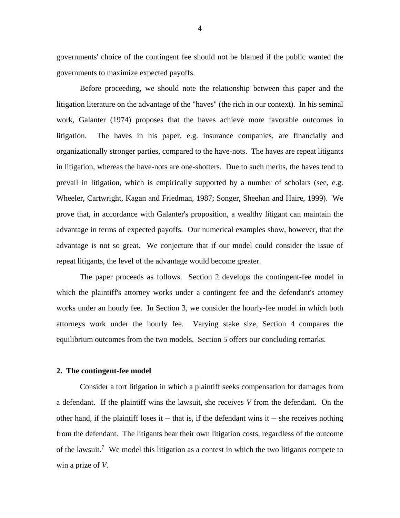governments' choice of the contingent fee should not be blamed if the public wanted the governments to maximize expected payoffs.

 Before proceeding, we should note the relationship between this paper and the litigation literature on the advantage of the "haves" (the rich in our context). In his seminal work, Galanter (1974) proposes that the haves achieve more favorable outcomes in litigation. The haves in his paper, e.g. insurance companies, are financially and organizationally stronger parties, compared to the have-nots. The haves are repeat litigants in litigation, whereas the have-nots are one-shotters. Due to such merits, the haves tend to prevail in litigation, which is empirically supported by a number of scholars (see, e.g. Wheeler, Cartwright, Kagan and Friedman, 1987; Songer, Sheehan and Haire, 1999). We prove that, in accordance with Galanter's proposition, a wealthy litigant can maintain the advantage in terms of expected payoffs. Our numerical examples show, however, that the advantage is not so great. We conjecture that if our model could consider the issue of repeat litigants, the level of the advantage would become greater.

 The paper proceeds as follows. Section 2 develops the contingent-fee model in which the plaintiff's attorney works under a contingent fee and the defendant's attorney works under an hourly fee. In Section 3, we consider the hourly-fee model in which both attorneys work under the hourly fee. Varying stake size, Section 4 compares the equilibrium outcomes from the two models. Section 5 offers our concluding remarks.

### **2. The contingent-fee model**

 Consider a tort litigation in which a plaintiff seeks compensation for damages from a defendant. If the plaintiff wins the lawsuit, she receives V from the defendant. On the other hand, if the plaintiff loses it  $-$  that is, if the defendant wins it  $-$  she receives nothing from the defendant. The litigants bear their own litigation costs, regardless of the outcome of the lawsuit.<sup>7</sup> We model this litigation as a contest in which the two litigants compete to win a prize of *V*.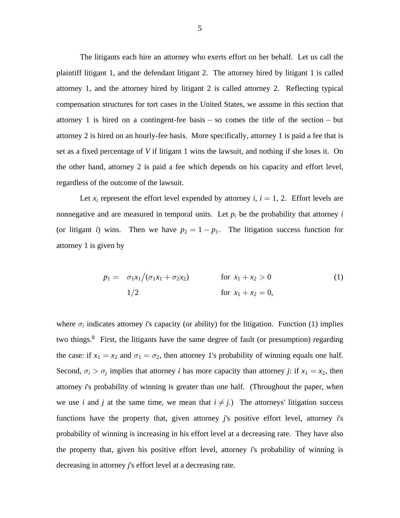The litigants each hire an attorney who exerts effort on her behalf. Let us call the plaintiff litigant 1, and the defendant litigant 2. The attorney hired by litigant 1 is called attorney 1, and the attorney hired by litigant 2 is called attorney 2. Reflecting typical compensation structures for tort cases in the United States, we assume in this section that attorney 1 is hired on a contingent-fee basis  $-$  so comes the title of the section  $-$  but attorney 2 is hired on an hourly-fee basis. More specifically, attorney 1 is paid a fee that is set as a fixed percentage of V if litigant 1 wins the lawsuit, and nothing if she loses it. On the other hand, attorney 2 is paid a fee which depends on his capacity and effort level, regardless of the outcome of the lawsuit.

Let  $x_i$  represent the effort level expended by attorney i,  $i = 1, 2$ . Effort levels are nonnegative and are measured in temporal units. Let  $p_i$  be the probability that attorney *i* (or litigant *i*) wins. Then we have  $p_2 = 1 - p_1$ . The litigation success function for attorney 1 is given by

$$
p_1 = \sigma_1 x_1 / (\sigma_1 x_1 + \sigma_2 x_2) \qquad \text{for } x_1 + x_2 > 0
$$
 (1)  
for  $x_1 + x_2 = 0$ ,

where  $\sigma_i$  indicates attorney *i*'s capacity (or ability) for the litigation. Function (1) implies two things.<sup>8</sup> First, the litigants have the same degree of fault (or presumption) regarding the case: if  $x_1 = x_2$  and  $\sigma_1 = \sigma_2$ , then attorney 1's probability of winning equals one half. Second,  $\sigma_i > \sigma_j$  implies that attorney *i* has more capacity than attorney *j*: if  $x_1 = x_2$ , then attorney 's probability of winning is greater *i* than one half. (Throughout the paper, when we use *i* and *j* at the same time, we mean that  $i \neq j$ .) The attorneys' litigation success functions have the property that, given attorney j's positive effort level, attorney i's probability of winning is increasing in his effort level at a decreasing rate. They have also the property that, given his positive effort level, attorney 's probability of winning is *i* decreasing in attorney *j*'s effort level at a decreasing rate.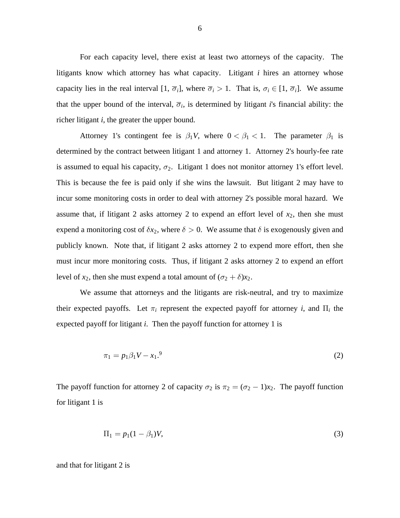For each capacity level, there exist at least two attorneys of the capacity. The litigants know which attorney has what capacity. Litigant *i* hires an attorney whose capacity lies in the real interval  $[1, \overline{\sigma}_i]$ , where  $\overline{\sigma}_i > 1$ . That is,  $\sigma_i \in [1, \overline{\sigma}_i]$ . We assume that the upper bound of the interval,  $\overline{\sigma}_i$ , is determined by litigant *i*'s financial ability: the richer litigant *i*, the greater the upper bound.

Attorney 1's contingent fee is  $\beta_1 V$ , where  $0 < \beta_1 < 1$ . The parameter  $\beta_1$  is determined by the contract between litigant 1 and attorney 1. Attorney 2's hourly-fee rate is assumed to equal his capacity,  $\sigma_2$ . Litigant 1 does not monitor attorney 1's effort level. This is because the fee is paid only if she wins the lawsuit. But litigant 2 may have to incur some monitoring costs in order to deal with attorney 2's possible moral hazard. We assume that, if litigant 2 asks attorney 2 to expend an effort level of  $x_2$ , then she must expend a monitoring cost of  $\delta x_2$ , where  $\delta > 0$ . We assume that  $\delta$  is exogenously given and publicly known. Note that, if litigant 2 asks attorney 2 to expend more effort, then she must incur more monitoring costs. Thus, if litigant 2 asks attorney 2 to expend an effort level of  $x_2$ , then she must expend a total amount of  $(\sigma_2 + \delta)x_2$ .

 We assume that attorneys and the litigants are risk-neutral, and try to maximize their expected payoffs. Let  $\pi_i$  represent the expected payoff for attorney *i*, and  $\Pi_i$  the expected payoff for litigant *i*. Then the payoff function for attorney 1 is

$$
\pi_1 = p_1 \beta_1 V - x_1.9 \tag{2}
$$

The payoff function for attorney 2 of capacity  $\sigma_2$  is  $\pi_2 = (\sigma_2 - 1)x_2$ . The payoff function for litigant 1 is

$$
\Pi_1 = p_1(1 - \beta_1)V,\tag{3}
$$

and that for litigant 2 is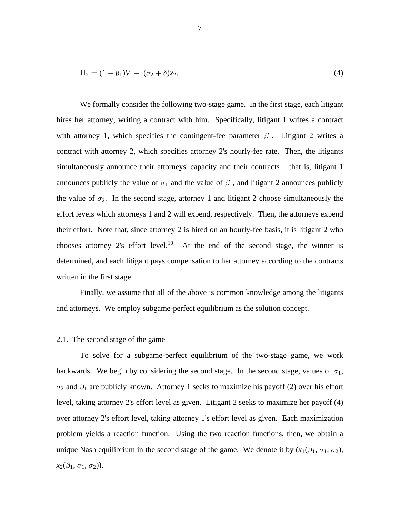$$
\Pi_2 = (1 - p_1)V - (\sigma_2 + \delta)x_2.
$$
\n(4)

 We formally consider the following two-stage game. In the first stage, each litigant hires her attorney, writing a contract with him. Specifically, litigant 1 writes a contract with attorney 1, which specifies the contingent-fee parameter  $\beta_1$ . Litigant 2 writes a contract with attorney 2, which specifies attorney 2's hourly-fee rate. Then, the litigants simultaneously announce their attorneys' capacity and their contracts  $-$  that is, litigant 1 announces publicly the value of  $\sigma_1$  and the value of  $\beta_1$ , and litigant 2 announces publicly the value of  $\sigma_2$ . In the second stage, attorney 1 and litigant 2 choose simultaneously the effort levels which attorneys 1 and 2 will expend, respectively. Then, the attorneys expend their effort. Note that, since attorney 2 is hired on an hourly-fee basis, it is litigant 2 who chooses attorney 2's effort level.<sup>10</sup> At the end of the second stage, the winner is determined, and each litigant pays compensation to her attorney according to the contracts written in the first stage.

 Finally, we assume that all of the above is common knowledge among the litigants and attorneys. We employ subgame-perfect equilibrium as the solution concept.

# 2.1. The second stage of the game

 To solve for a subgame-perfect equilibrium of the two-stage game, we work backwards. We begin by considering the second stage. In the second stage, values of  $\sigma_1$ ,  $\sigma_2$  and  $\beta_1$  are publicly known. Attorney 1 seeks to maximize his payoff (2) over his effort level, taking attorney 2's effort level as given. Litigant 2 seeks to maximize her payoff (4) over attorney 2's effort level, taking attorney 1's effort level as given. Each maximization problem yields a reaction function. Using the two reaction functions, then, we obtain a unique Nash equilibrium in the second stage of the game. We denote it by  $(x_1(\beta_1, \sigma_1, \sigma_2))$ ,  $x_2(\beta_1, \sigma_1, \sigma_2)$ .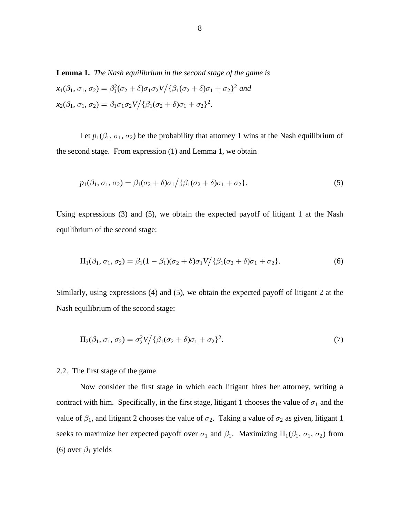**Lemma 1.** *The Nash equilibrium in the second stage of the game is*  $x_1(\beta_1, \sigma_1, \sigma_2) = \beta_1^2(\sigma_2 + \delta)\sigma_1\sigma_2 V / {\{\beta_1(\sigma_2 + \delta)\sigma_1 + \sigma_2\}}^2$  and  $x_2(\beta_1, \sigma_1, \sigma_2) = \beta_1 \sigma_1 \sigma_2 V / {\{\beta_1(\sigma_2 + \delta)\sigma_1 + \sigma_2\}}^2.$ 

Let  $p_1(\beta_1, \sigma_1, \sigma_2)$  be the probability that attorney 1 wins at the Nash equilibrium of the second stage. From expression (1) and Lemma 1, we obtain

$$
p_1(\beta_1, \sigma_1, \sigma_2) = \beta_1(\sigma_2 + \delta)\sigma_1 / \{\beta_1(\sigma_2 + \delta)\sigma_1 + \sigma_2\}.
$$
\n<sup>(5)</sup>

Using expressions (3) and (5), we obtain the expected payoff of litigant 1 at the Nash equilibrium of the second stage:

$$
\Pi_1(\beta_1, \sigma_1, \sigma_2) = \beta_1(1 - \beta_1)(\sigma_2 + \delta)\sigma_1 V / \{\beta_1(\sigma_2 + \delta)\sigma_1 + \sigma_2\}.
$$
\n<sup>(6)</sup>

Similarly, using expressions (4) and (5), we obtain the expected payoff of litigant 2 at the Nash equilibrium of the second stage:

$$
\Pi_2(\beta_1, \sigma_1, \sigma_2) = \sigma_2^2 V / {\{\beta_1(\sigma_2 + \delta)\sigma_1 + \sigma_2\}}^2.
$$
\n<sup>(7)</sup>

### 2.2. The first stage of the game

 Now consider the first stage in which each litigant hires her attorney, writing a contract with him. Specifically, in the first stage, litigant 1 chooses the value of  $\sigma_1$  and the value of  $\beta_1$ , and litigant 2 chooses the value of  $\sigma_2$ . Taking a value of  $\sigma_2$  as given, litigant 1 seeks to maximize her expected payoff over  $\sigma_1$  and  $\beta_1$ . Maximizing  $\Pi_1(\beta_1, \sigma_1, \sigma_2)$  from (6) over  $\beta_1$  yields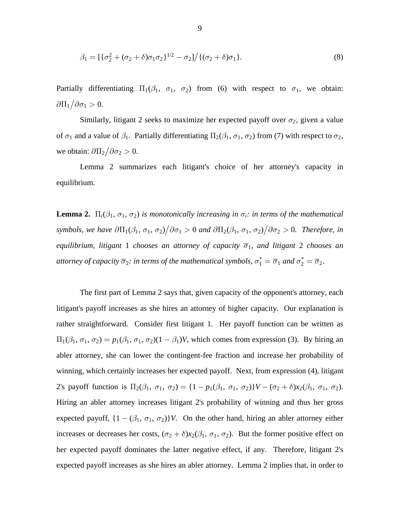$$
\beta_1 = \left[ \{ \sigma_2^2 + (\sigma_2 + \delta)\sigma_1\sigma_2 \}^{1/2} - \sigma_2 \right] / \left\{ (\sigma_2 + \delta)\sigma_1 \right\}.
$$
\n(8)

Partially differentiating  $\Pi_1(\beta_1, \sigma_1, \sigma_2)$  from (6) with respect to  $\sigma_1$ , we obtain:  $\partial \Pi_1 / \partial \sigma_1 > 0.$ 

Similarly, litigant 2 seeks to maximize her expected payoff over  $\sigma_2$ , given a value of  $\sigma_1$  and a value of  $\beta_1$ . Partially differentiating  $\Pi_2(\beta_1, \sigma_1, \sigma_2)$  from (7) with respect to  $\sigma_2$ , we obtain:  $\frac{\partial \Pi_2}{\partial \sigma_2} > 0$ .

 Lemma 2 summarizes each litigant's choice of her attorney's capacity in equilibrium.

**Lemma 2.**  $\Pi_i(\beta_1, \sigma_1, \sigma_2)$  *is monotonically increasing in*  $\sigma_i$ *: in terms of the mathematical symbols, we have*  $\partial \Pi_1(\beta_1, \sigma_1, \sigma_2) / \partial \sigma_1 > 0$  and  $\partial \Pi_2(\beta_1, \sigma_1, \sigma_2) / \partial \sigma_2 > 0$ . Therefore, in *equilibrium, litigant 1 chooses an attorney of capacity*  $\overline{\sigma}_1$ *, and litigant 2 chooses an* attorney of capacity  $\overline{\sigma}_2$ : in terms of the mathematical symbols,  $\sigma_1^* = \overline{\sigma}_1$  and  $\sigma_2^* = \overline{\sigma}_2$ .

 The first part of Lemma 2 says that, given capacity of the opponent's attorney, each litigant's payoff increases as she hires an attorney of higher capacity. Our explanation is rather straightforward. Consider first litigant 1. Her payoff function can be written as  $\Pi_1(\beta_1, \sigma_1, \sigma_2) = p_1(\beta_1, \sigma_1, \sigma_2)(1 - \beta_1)V$ , which comes from expression (3). By hiring an abler attorney, she can lower the contingent-fee fraction and increase her probability of winning, which certainly increases her expected payoff. Next, from expression (4), litigant 2's payoff function is  $\Pi_2(\beta_1, \sigma_1, \sigma_2) = \{1 - p_1(\beta_1, \sigma_1, \sigma_2)\} V - (\sigma_2 + \delta) x_2(\beta_1, \sigma_1, \sigma_2).$ Hiring an abler attorney increases litigant 2's probability of winning and thus her gross expected payoff,  $\{1 - (\beta_1, \sigma_1, \sigma_2)\}V$ . On the other hand, hiring an abler attorney either increases or decreases her costs,  $(\sigma_2 + \delta)x_2(\beta_1, \sigma_1, \sigma_2)$ . But the former positive effect on her expected payoff dominates the latter negative effect, if any. Therefore, litigant 2's expected payoff increases as she hires an abler attorney. Lemma 2 implies that, in order to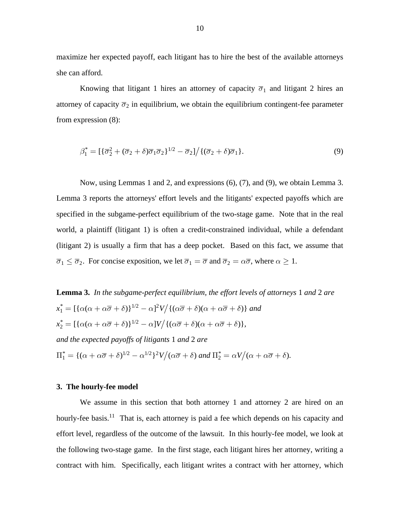maximize her expected payoff, each litigant has to hire the best of the available attorneys she can afford.

Knowing that litigant 1 hires an attorney of capacity  $\overline{\sigma}_1$  and litigant 2 hires an attorney of capacity  $\overline{\sigma}_2$  in equilibrium, we obtain the equilibrium contingent-fee parameter from expression (8):

$$
\beta_1^* = \left[ \left\{ \overline{\sigma}_2^2 + (\overline{\sigma}_2 + \delta) \overline{\sigma}_1 \overline{\sigma}_2 \right\}^{1/2} - \overline{\sigma}_2 \right] / \left\{ (\overline{\sigma}_2 + \delta) \overline{\sigma}_1 \right\}.
$$
\n(9)

 Now, using Lemmas 1 and 2, and expressions (6), (7), and (9), we obtain Lemma 3. Lemma 3 reports the attorneys' effort levels and the litigants' expected payoffs which are specified in the subgame-perfect equilibrium of the two-stage game. Note that in the real world, a plaintiff (litigant 1) is often a credit-constrained individual, while a defendant (litigant 2) is usually a firm that has a deep pocket. Based on this fact, we assume that  $\overline{\sigma}_1 \leq \overline{\sigma}_2$ . For concise exposition, we let  $\overline{\sigma}_1 = \overline{\sigma}$  and  $\overline{\sigma}_2 = \alpha \overline{\sigma}$ , where  $\alpha \geq 1$ .

**Lemma 3.** In the subgame-perfect equilibrium, the effort levels of attorneys 1 and 2 are  $x_1^* = [\{\alpha(\alpha + \alpha\overline{\sigma} + \delta)\}^{1/2} - \alpha]^2 V / \{(\alpha\overline{\sigma} + \delta)(\alpha + \alpha\overline{\sigma} + \delta)\}$  and  $x_2^* = [\{\alpha(\alpha + \alpha\overline{\sigma} + \delta)\}^{1/2} - \alpha]V / \{(\alpha\overline{\sigma} + \delta)(\alpha + \alpha\overline{\sigma} + \delta)\},\$ *and the expected payoffs of litigants 1 and 2 are*  $\Pi_1^* = \{(\alpha + \alpha\overline{\sigma} + \delta)^{1/2} - \alpha^{1/2}\}^2 V \big/(\alpha\overline{\sigma} + \delta)$  and  $\Pi_2^* = \alpha V \big/(\alpha + \alpha\overline{\sigma} + \delta).$ 

### **3. The hourly-fee model**

 We assume in this section that both attorney 1 and attorney 2 are hired on an hourly-fee basis.<sup>11</sup> That is, each attorney is paid a fee which depends on his capacity and effort level, regardless of the outcome of the lawsuit. In this hourly-fee model, we look at the following two-stage game. In the first stage, each litigant hires her attorney, writing a contract with him. Specifically, each litigant writes a contract with her attorney, which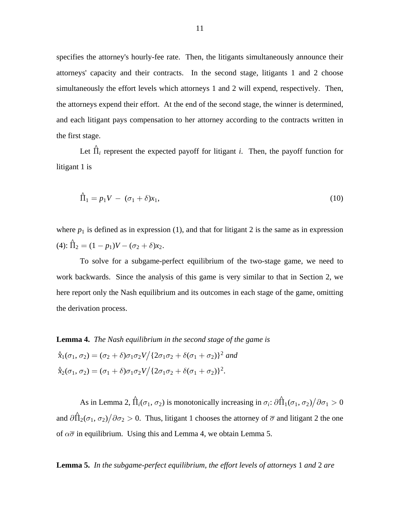specifies the attorney's hourly-fee rate. Then, the litigants simultaneously announce their attorneys' capacity and their contracts. In the second stage, litigants 1 and 2 choose simultaneously the effort levels which attorneys 1 and 2 will expend, respectively. Then, the attorneys expend their effort. At the end of the second stage, the winner is determined, and each litigant pays compensation to her attorney according to the contracts written in the first stage.

Let  $\hat{\Pi}_i$  represent the expected payoff for litigant *i*. Then, the payoff function for litigant 1 is

$$
\hat{\Pi}_1 = p_1 V - (\sigma_1 + \delta)x_1,\tag{10}
$$

where  $p_1$  is defined as in expression (1), and that for litigant 2 is the same as in expression (4):  $\hat{\Pi}_2 = (1 - p_1)V - (\sigma_2 + \delta)x_2$ .

 To solve for a subgame-perfect equilibrium of the two-stage game, we need to work backwards. Since the analysis of this game is very similar to that in Section 2, we here report only the Nash equilibrium and its outcomes in each stage of the game, omitting the derivation process.

**Lemma 4.** *The Nash equilibrium in the second stage of the game is*

 $\hat{x}_1(\sigma_1, \sigma_2) = (\sigma_2 + \delta)\sigma_1 \sigma_2 V / (2\sigma_1 \sigma_2 + \delta(\sigma_1 + \sigma_2))^2$  and  $\hat{x}_2(\sigma_1, \sigma_2) = (\sigma_1 + \delta)\sigma_1\sigma_2 V / (2\sigma_1\sigma_2 + \delta(\sigma_1 + \sigma_2))^2$ .

As in Lemma 2,  $\hat{\Pi}_i(\sigma_1, \sigma_2)$  is monotonically increasing in  $\sigma_i$ :  $\partial \hat{\Pi}_1(\sigma_1, \sigma_2) / \partial \sigma_1 > 0$ and  $\frac{\partial \hat{\Pi}_2(\sigma_1, \sigma_2)}{\partial \sigma_2} > 0$ . Thus, litigant 1 chooses the attorney of  $\overline{\sigma}$  and litigant 2 the one of  $\alpha\overline{\sigma}$  in equilibrium. Using this and Lemma 4, we obtain Lemma 5.

**Lemma 5.** In the subgame-perfect equilibrium, the effort levels of attorneys 1 and 2 are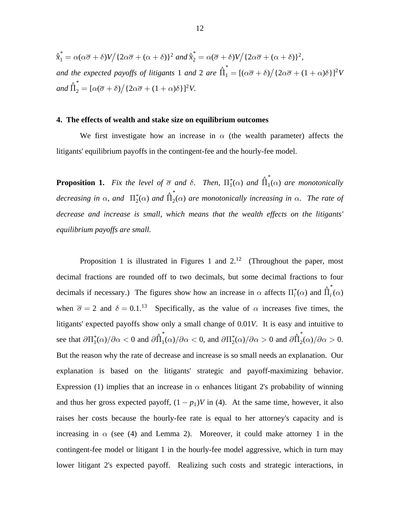$\hat{\chi}^*_1 = \alpha(\alpha \overline{\sigma} + \delta)V / \{2\alpha \overline{\sigma} + (\alpha + \delta)\}^2$  and  $\hat{\chi}^*_2 = \alpha(\overline{\sigma} + \delta)V / \{2\alpha \overline{\sigma} + (\alpha + \delta)\}^2$ , *and the expected payoffs of litigants* 1 *and* 2 *are*  $\hat{\Pi}_1^* = [(\alpha \overline{\sigma} + \delta) / {2 \alpha \overline{\sigma} + (1 + \alpha) \delta}]^2 V$  $and \hat{\Pi}_2^* = [\alpha(\overline{\sigma} + \delta) / \{2\alpha\overline{\sigma} + (1+\alpha)\delta\}]^2 V.$ 

## **4. The effects of wealth and stake size on equilibrium outcomes**

We first investigate how an increase in  $\alpha$  (the wealth parameter) affects the litigants' equilibrium payoffs in the contingent-fee and the hourly-fee model.

**Proposition 1.** Fix the level of  $\overline{\sigma}$  and  $\delta$ . Then,  $\Pi_1^*(\alpha)$  and  $\hat{\Pi}_1^*(\alpha)$  are monotonically  $decreasing in \alpha$ , and  $\prod_{2}^{*}(\alpha)$  and  $\prod_{2}^{*}(\alpha)$  are monotonically increasing in  $\alpha$ . The rate of *decrease and increase is small, which means that the wealth effects on the litigants' equilibrium payoffs are small.*

Proposition 1 is illustrated in Figures 1 and  $2<sup>12</sup>$  (Throughout the paper, most decimal fractions are rounded off to two decimals, but some decimal fractions to four decimals if necessary.) The figures show how an increase in  $\alpha$  affects  $\Pi_i^*(\alpha)$  and  $\hat{\Pi}_i^*(\alpha)$ when  $\overline{\sigma} = 2$  and  $\delta = 0.1$ .<sup>13</sup> Specifically, as the value of  $\alpha$  increases five times, the litigants' expected payoffs show only a small change of 0.01V. It is easy and intuitive to see that  $\partial \Pi_1^*(\alpha)/\partial \alpha < 0$  and  $\partial \hat{\Pi}_1^*(\alpha)/\partial \alpha < 0$ , and  $\partial \Pi_2^*(\alpha)/\partial \alpha > 0$  and  $\partial \hat{\Pi}_2^*(\alpha)/\partial \alpha > 0$ . But the reason why the rate of decrease and increase is so small needs an explanation. Our explanation is based on the litigants' strategic and payoff-maximizing behavior. Expression (1) implies that an increase in  $\alpha$  enhances litigant 2's probability of winning and thus her gross expected payoff,  $(1 - p_1)V$  in (4). At the same time, however, it also raises her costs because the hourly-fee rate is equal to her attorney's capacity and is increasing in  $\alpha$  (see (4) and Lemma 2). Moreover, it could make attorney 1 in the contingent-fee model or litigant 1 in the hourly-fee model aggressive, which in turn may lower litigant 2's expected payoff. Realizing such costs and strategic interactions, in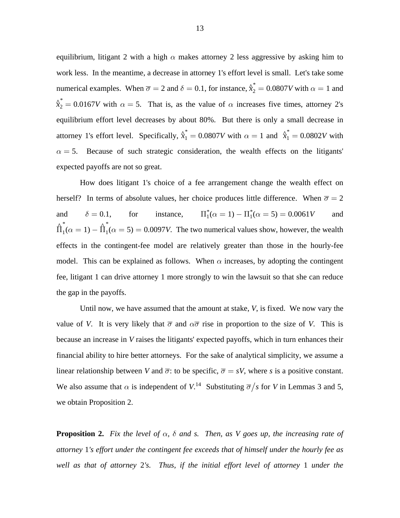equilibrium, litigant 2 with a high  $\alpha$  makes attorney 2 less aggressive by asking him to work less. In the meantime, a decrease in attorney 1's effort level is small. Let's take some numerical examples. When  $\overline{\sigma} = 2$  and  $\delta = 0.1$ , for instance,  $\hat{\chi}_2^* = 0.0807 V$  with  $\alpha = 1$  and  $\hat{\chi}^*$  = 0.0167V with  $\alpha = 5$ . That is, as the value of  $\alpha$  increases five times, attorney 2's equilibrium effort level decreases by about 80%. But there is only a small decrease in attorney 1's effort level. Specifically,  $\hat{x}_1^* = 0.0807V$  with  $\alpha = 1$  and  $\hat{x}_1^* = 0.0802V$  with  $\alpha = 5$ . Because of such strategic consideration, the wealth effects on the litigants' expected payoffs are not so great.

 How does litigant 1's choice of a fee arrangement change the wealth effect on herself? In terms of absolute values, her choice produces little difference. When  $\overline{\sigma} = 2$ and  $\delta = 0.1$ , for instance,  $\Pi_1^*(\alpha = 1) - \Pi_1^*(\alpha = 5) = 0.0061V$  and  $\hat{\overline{\Pi}}_{1}^{\ast}(\alpha = 1) - \hat{\overline{\Pi}}_{1}^{\ast}(\alpha$  $\int_{1}^{*} (\alpha = 1) - \hat{\Pi}_{1}^{*}(\alpha = 5) = 0.0097V$ . The two numerical values show, however, the wealth effects in the contingent-fee model are relatively greater than those in the hourly-fee model. This can be explained as follows. When  $\alpha$  increases, by adopting the contingent fee, litigant 1 can drive attorney 1 more strongly to win the lawsuit so that she can reduce the gap in the payoffs.

Until now, we have assumed that the amount at stake, V, is fixed. We now vary the value of V. It is very likely that  $\overline{\sigma}$  and  $\alpha \overline{\sigma}$  rise in proportion to the size of V. This is because an increase in V raises the litigants' expected payoffs, which in turn enhances their financial ability to hire better attorneys. For the sake of analytical simplicity, we assume a linear relationship between V and  $\overline{\sigma}$ : to be specific,  $\overline{\sigma} = sV$ , where s is a positive constant. We also assume that  $\alpha$  is independent of  $V^{14}$ . Substituting  $\overline{\sigma}/s$  for V in Lemmas 3 and 5, we obtain Proposition 2.

**Proposition 2.** Fix the level of  $\alpha$ ,  $\delta$  and s. Then, as V goes up, the increasing rate of attorney 1's effort under the contingent fee exceeds that of himself under the hourly fee as *well as that of attorney 2's. Thus, if the initial effort level of attorney 1 under the*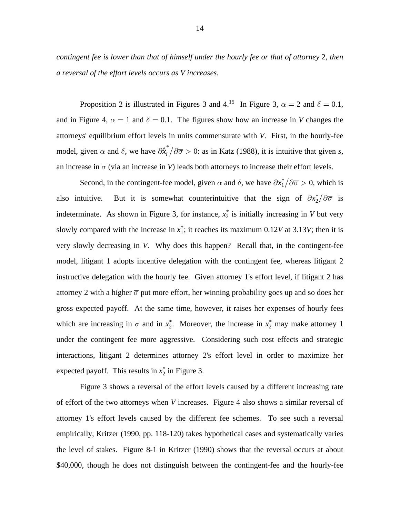*contingent fee is lower than that of himself under the hourly fee or that of attorney 2, then a reversal of the effort levels occurs as V increases.*

Proposition 2 is illustrated in Figures 3 and 4.<sup>15</sup> In Figure 3,  $\alpha = 2$  and  $\delta = 0.1$ , and in Figure 4,  $\alpha = 1$  and  $\delta = 0.1$ . The figures show how an increase in V changes the attorneys' equilibrium effort levels in units commensurate with V. First, in the hourly-fee model, given  $\alpha$  and  $\delta$ , we have  $\partial x_i^* / \partial \overline{\sigma} > 0$ : as in Katz (1988), it is intuitive that given *s*, an increase in  $\overline{\sigma}$  (via an increase in V) leads both attorneys to increase their effort levels.

Second, in the contingent-fee model, given  $\alpha$  and  $\delta$ , we have  $\partial x_1^* / \partial \overline{\sigma} > 0$ , which is also intuitive. But it is somewhat counterintuitive that the sign of  $\partial x_2^* / \partial \overline{\sigma}$  is indeterminate. As shown in Figure 3, for instance,  $x_2^*$  is initially increasing in V but very slowly compared with the increase in  $x_1^*$ ; it reaches its maximum 0.12V at 3.13V; then it is very slowly decreasing in V. Why does this happen? Recall that, in the contingent-fee model, litigant 1 adopts incentive delegation with the contingent fee, whereas litigant 2 instructive delegation with the hourly fee. Given attorney 1's effort level, if litigant 2 has attorney 2 with a higher  $\overline{\sigma}$  put more effort, her winning probability goes up and so does her gross expected payoff. At the same time, however, it raises her expenses of hourly fees which are increasing in  $\overline{\sigma}$  and in  $x_2^*$ . Moreover, the increase in  $x_2^*$  may make attorney 1 under the contingent fee more aggressive. Considering such cost effects and strategic interactions, litigant 2 determines attorney 2's effort level in order to maximize her expected payoff. This results in  $x_2^*$  in Figure 3.

 Figure 3 shows a reversal of the effort levels caused by a different increasing rate of effort of the two attorneys when V increases. Figure 4 also shows a similar reversal of attorney 1's effort levels caused by the different fee schemes. To see such a reversal empirically, Kritzer (1990, pp. 118-120) takes hypothetical cases and systematically varies the level of stakes. Figure 8-1 in Kritzer (1990) shows that the reversal occurs at about \$40,000, though he does not distinguish between the contingent-fee and the hourly-fee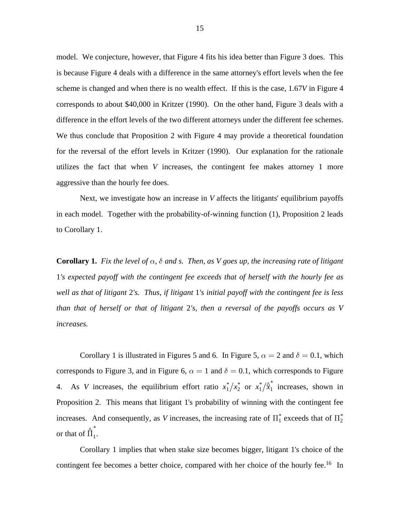model. We conjecture, however, that Figure 4 fits his idea better than Figure 3 does. This is because Figure 4 deals with a difference in the same attorney's effort levels when the fee scheme is changed and when there is no wealth effect. If this is the case, 1.67V in Figure 4 corresponds to about \$40,000 in Kritzer (1990). On the other hand, Figure 3 deals with a difference in the effort levels of the two different attorneys under the different fee schemes. We thus conclude that Proposition 2 with Figure 4 may provide a theoretical foundation for the reversal of the effort levels in Kritzer (1990). Our explanation for the rationale utilizes the fact that when V increases, the contingent fee makes attorney 1 more aggressive than the hourly fee does.

Next, we investigate how an increase in  $V$  affects the litigants' equilibrium payoffs in each model. Together with the probability-of-winning function (1), Proposition 2 leads to Corollary 1.

**Corollary 1.** Fix the level of  $\alpha$ ,  $\delta$  and s. Then, as V goes up, the increasing rate of litigant 1*'s expected payoff with the contingent fee exceeds that of herself with the hourly fee as well as that of litigant 2's. Thus, if litigant 1's initial payoff with the contingent fee is less than that of herself or that of litigant 2's, then a reversal of the payoffs occurs as V increases.*

Corollary 1 is illustrated in Figures 5 and 6. In Figure 5,  $\alpha = 2$  and  $\delta = 0.1$ , which corresponds to Figure 3, and in Figure 6,  $\alpha = 1$  and  $\delta = 0.1$ , which corresponds to Figure 4. As V increases, the equilibrium effort ratio  $x_1^*/x_2^*$  or  $x_1^*/x_1^*$  increases, shown in Proposition 2. This means that litigant 1's probability of winning with the contingent fee increases. And consequently, as V increases, the increasing rate of  $\prod_{1}^{*}$  exceeds that of  $\prod_{2}^{*}$ or that of  $\hat{\Pi}_1^*$ . *\**

 Corollary 1 implies that when stake size becomes bigger, litigant 1's choice of the contingent fee becomes a better choice, compared with her choice of the hourly fee.<sup>16</sup> In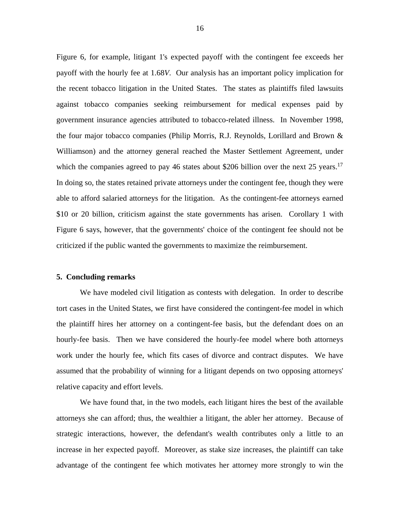Figure 6, for example, litigant 1's expected payoff with the contingent fee exceeds her payoff with the hourly fee at 1.68*V*. Our analysis has an important policy implication for the recent tobacco litigation in the United States. The states as plaintiffs filed lawsuits against tobacco companies seeking reimbursement for medical expenses paid by government insurance agencies attributed to tobacco-related illness. In November 1998, the four major tobacco companies (Philip Morris, R.J. Reynolds, Lorillard and Brown & Williamson) and the attorney general reached the Master Settlement Agreement, under which the companies agreed to pay 46 states about \$206 billion over the next 25 years.<sup>17</sup> In doing so, the states retained private attorneys under the contingent fee, though they were able to afford salaried attorneys for the litigation. As the contingent-fee attorneys earned \$10 or 20 billion, criticism against the state governments has arisen. Corollary 1 with Figure 6 says, however, that the governments' choice of the contingent fee should not be criticized if the public wanted the governments to maximize the reimbursement.

#### **5. Concluding remarks**

 We have modeled civil litigation as contests with delegation. In order to describe tort cases in the United States, we first have considered the contingent-fee model in which the plaintiff hires her attorney on a contingent-fee basis, but the defendant does on an hourly-fee basis. Then we have considered the hourly-fee model where both attorneys work under the hourly fee, which fits cases of divorce and contract disputes. We have assumed that the probability of winning for a litigant depends on two opposing attorneys' relative capacity and effort levels.

 We have found that, in the two models, each litigant hires the best of the available attorneys she can afford; thus, the wealthier a litigant, the abler her attorney. Because of strategic interactions, however, the defendant's wealth contributes only a little to an increase in her expected payoff. Moreover, as stake size increases, the plaintiff can take advantage of the contingent fee which motivates her attorney more strongly to win the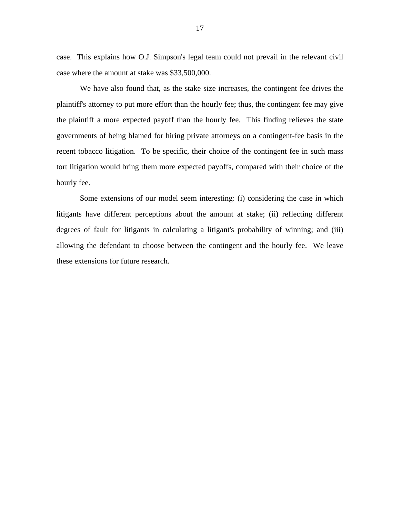case. This explains how O.J. Simpson's legal team could not prevail in the relevant civil case where the amount at stake was \$33,500,000.

 We have also found that, as the stake size increases, the contingent fee drives the plaintiff's attorney to put more effort than the hourly fee; thus, the contingent fee may give the plaintiff a more expected payoff than the hourly fee. This finding relieves the state governments of being blamed for hiring private attorneys on a contingent-fee basis in the recent tobacco litigation. To be specific, their choice of the contingent fee in such mass tort litigation would bring them more expected payoffs, compared with their choice of the hourly fee.

 Some extensions of our model seem interesting: (i) considering the case in which litigants have different perceptions about the amount at stake; (ii) reflecting different degrees of fault for litigants in calculating a litigant's probability of winning; and (iii) allowing the defendant to choose between the contingent and the hourly fee. We leave these extensions for future research.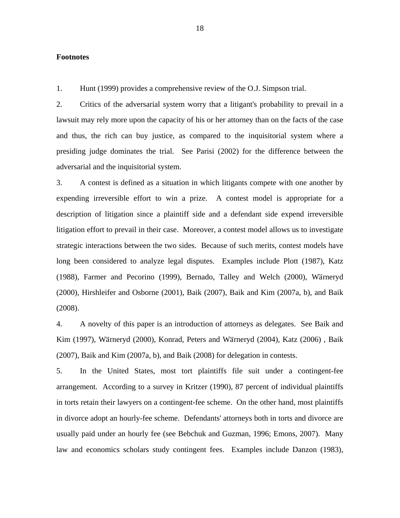# **Footnotes**

1. Hunt (1999) provides a comprehensive review of the O.J. Simpson trial.

2. Critics of the adversarial system worry that a litigant's probability to prevail in a lawsuit may rely more upon the capacity of his or her attorney than on the facts of the case and thus, the rich can buy justice, as compared to the inquisitorial system where a presiding judge dominates the trial. See Parisi (2002) for the difference between the adversarial and the inquisitorial system.

3. A contest is defined as a situation in which litigants compete with one another by expending irreversible effort to win a prize. A contest model is appropriate for a description of litigation since a plaintiff side and a defendant side expend irreversible litigation effort to prevail in their case. Moreover, a contest model allows us to investigate strategic interactions between the two sides. Because of such merits, contest models have long been considered to analyze legal disputes. Examples include Plott (1987), Katz (1988), Farmer and Pecorino (1999), Bernado, Talley and Welch (2000), Wärneryd (2000), Hirshleifer and Osborne (2001), Baik (2007), Baik and Kim (2007a, b), and Baik (2008).

4. A novelty of this paper is an introduction of attorneys as delegates. See Baik and Kim (1997), Wärneryd (2000), Konrad, Peters and Wärneryd (2004), Katz (2006), Baik (2007), Baik and Kim (2007a, b), and Baik (2008) for delegation in contests.

5. In the United States, most tort plaintiffs file suit under a contingent-fee arrangement. According to a survey in Kritzer (1990), 87 percent of individual plaintiffs in torts retain their lawyers on a contingent-fee scheme. On the other hand, most plaintiffs in divorce adopt an hourly-fee scheme. Defendants' attorneys both in torts and divorce are usually paid under an hourly fee (see Bebchuk and Guzman, 1996; Emons, 2007). Many law and economics scholars study contingent fees. Examples include Danzon (1983),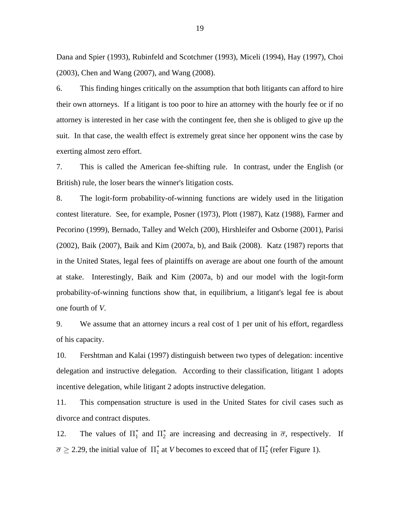Dana and Spier (1993), Rubinfeld and Scotchmer (1993), Miceli (1994), Hay (1997), Choi (2003), Chen and Wang (2007), and Wang (2008).

6. This finding hinges critically on the assumption that both litigants can afford to hire their own attorneys. If a litigant is too poor to hire an attorney with the hourly fee or if no attorney is interested in her case with the contingent fee, then she is obliged to give up the suit. In that case, the wealth effect is extremely great since her opponent wins the case by exerting almost zero effort.

7. This is called the American fee-shifting rule. In contrast, under the English (or British) rule, the loser bears the winner's litigation costs.

8. The logit-form probability-of-winning functions are widely used in the litigation contest literature. See, for example, Posner (1973), Plott (1987), Katz (1988), Farmer and Pecorino (1999), Bernado, Talley and Welch (200), Hirshleifer and Osborne (2001), Parisi (2002), Baik (2007), Baik and Kim (2007a, b), and Baik (2008). Katz (1987) reports that in the United States, legal fees of plaintiffs on average are about one fourth of the amount at stake. Interestingly, Baik and Kim (2007a, b) and our model with the logit-form probability-of-winning functions show that, in equilibrium, a litigant's legal fee is about one fourth of *V*.

9. We assume that an attorney incurs a real cost of 1 per unit of his effort, regardless of his capacity.

10. Fershtman and Kalai (1997) distinguish between two types of delegation: incentive delegation and instructive delegation. According to their classification, litigant 1 adopts incentive delegation, while litigant 2 adopts instructive delegation.

11. This compensation structure is used in the United States for civil cases such as divorce and contract disputes.

12. The values of  $\Pi_1^*$  and  $\Pi_2^*$  are increasing and decreasing in  $\overline{\sigma}$ , respectively. If  $\overline{\sigma} \ge 2.29$ , the initial value of  $\prod_{1}^{*}$  at *V* becomes to exceed that of  $\prod_{2}^{*}$  (refer Figure 1).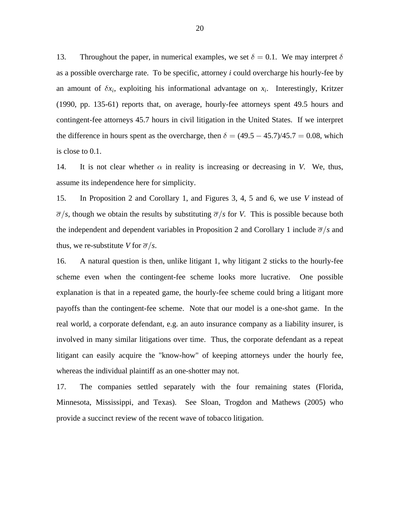13. Throughout the paper, in numerical examples, we set  $\delta = 0.1$ . We may interpret  $\delta$ as a possible overcharge rate. To be specific, attorney *i* could overcharge his hourly-fee by an amount of  $\delta x_i$ , exploiting his informational advantage on  $x_i$ . Interestingly, Kritzer (1990, pp. 135-61) reports that, on average, hourly-fee attorneys spent 49.5 hours and contingent-fee attorneys 45.7 hours in civil litigation in the United States. If we interpret the difference in hours spent as the overcharge, then  $\delta = (49.5 - 45.7)/45.7 = 0.08$ , which is close to 0.1.

14. It is not clear whether  $\alpha$  in reality is increasing or decreasing in V. We, thus, assume its independence here for simplicity.

15. In Proposition 2 and Corollary 1, and Figures 3, 4, 5 and 6, we use V instead of  $\overline{\sigma}/s$ , though we obtain the results by substituting  $\overline{\sigma}/s$  for V. This is possible because both the independent and dependent variables in Proposition 2 and Corollary 1 include  $\overline{\sigma}/s$  and thus, we re-substitute V for  $\overline{\sigma}/s$ .

16. A natural question is then, unlike litigant 1, why litigant 2 sticks to the hourly-fee scheme even when the contingent-fee scheme looks more lucrative. One possible explanation is that in a repeated game, the hourly-fee scheme could bring a litigant more payoffs than the contingent-fee scheme. Note that our model is a one-shot game. In the real world, a corporate defendant, e.g. an auto insurance company as a liability insurer, is involved in many similar litigations over time. Thus, the corporate defendant as a repeat litigant can easily acquire the "know-how" of keeping attorneys under the hourly fee, whereas the individual plaintiff as an one-shotter may not.

17. The companies settled separately with the four remaining states (Florida, Minnesota, Mississippi, and Texas). See Sloan, Trogdon and Mathews (2005) who provide a succinct review of the recent wave of tobacco litigation.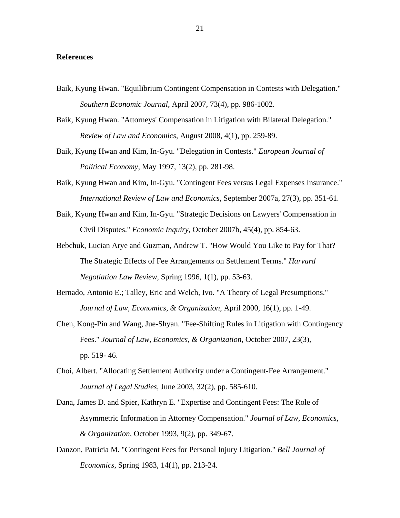# **References**

- Baik, Kyung Hwan. "Equilibrium Contingent Compensation in Contests with Delegation." , April 2007, 73(4), pp. 986-1002. *Southern Economic Journal*
- Baik, Kyung Hwan. "Attorneys' Compensation in Litigation with Bilateral Delegation." Review of Law and Economics, August 2008, 4(1), pp. 259-89.
- Baik, Kyung Hwan and Kim, In-Gyu. "Delegation in Contests." *European Journal of* , May 1997, 13(2), pp. 281-98. *Political Economy*
- Baik, Kyung Hwan and Kim, In-Gyu. "Contingent Fees versus Legal Expenses Insurance." International Review of Law and Economics, September 2007a, 27(3), pp. 351-61.
- Baik, Kyung Hwan and Kim, In-Gyu. "Strategic Decisions on Lawyers' Compensation in Civil Disputes." *Economic Inquiry*, October 2007b, 45(4), pp. 854-63.
- Bebchuk, Lucian Arye and Guzman, Andrew T. "How Would You Like to Pay for That? The Strategic Effects of Fee Arrangements on Settlement Terms." *Harvard Negotiation Law Review*, Spring 1996, 1(1), pp. 53-63.
- Bernado, Antonio E.; Talley, Eric and Welch, Ivo. "A Theory of Legal Presumptions." Journal of Law, Economics, & Organization, April 2000, 16(1), pp. 1-49.
- Chen, Kong-Pin and Wang, Jue-Shyan. "Fee-Shifting Rules in Litigation with Contingency Fees." Journal of Law, *Economics, & Organization*, October 2007, 23(3), pp. 519- 46.
- Choi, Albert. "Allocating Settlement Authority under a Contingent-Fee Arrangement."  *Journal of Legal Studies*, June 2003, 32(2), pp. 585-610.
- Dana, James D. and Spier, Kathryn E. "Expertise and Contingent Fees: The Role of Asymmetric Information in Attorney Compensation." *Journal of Law, Economics, & Organization*, October 1993, 9(2), pp. 349-67.
- Danzon, Patricia M. "Contingent Fees for Personal Injury Litigation." *Bell Journal of Economics*, Spring 1983, 14(1), pp. 213-24.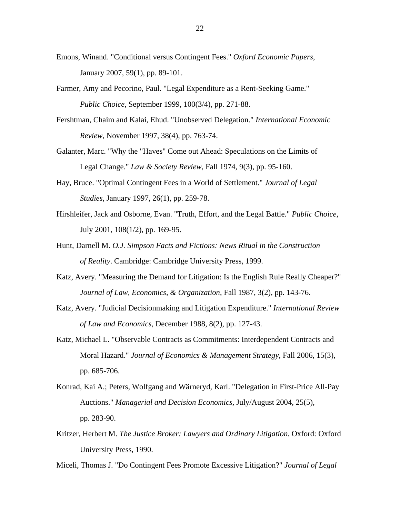- Emons, Winand. "Conditional versus Contingent Fees." Oxford Economic Papers, January 2007, 59(1), pp. 89-101.
- Farmer, Amy and Pecorino, Paul. "Legal Expenditure as a Rent-Seeking Game." , September 1999, 100(3/4), pp. 271-88. *Public Choice*
- Fershtman, Chaim and Kalai, Ehud. "Unobserved Delegation." *International Economic Review*, November 1997, 38(4), pp. 763-74.
- Galanter, Marc. "Why the "Haves" Come out Ahead: Speculations on the Limits of Legal Change." *Law & Society Review*, Fall 1974, 9(3), pp. 95-160.
- Hay, Bruce. "Optimal Contingent Fees in a World of Settlement." *Journal of Legal Studies*, January 1997, 26(1), pp. 259-78.
- Hirshleifer, Jack and Osborne, Evan. "Truth, Effort, and the Legal Battle." *Public Choice*, July 2001, 108(1/2), pp. 169-95.
- Hunt, Darnell M. *O.J. Simpson Facts and Fictions: News Ritual in the Construction of Reality*. Cambridge: Cambridge University Press, 1999.
- Katz, Avery. "Measuring the Demand for Litigation: Is the English Rule Really Cheaper?" Journal of Law, Economics, & Organization, Fall 1987, 3(2), pp. 143-76.
- Katz, Avery. "Judicial Decisionmaking and Litigation Expenditure." *International Review of Law and Economics*, December 1988, 8(2), pp. 127-43.
- Katz, Michael L. "Observable Contracts as Commitments: Interdependent Contracts and Moral Hazard." *Journal of Economics & Management Strategy*, Fall 2006, 15(3), pp. 685-706.
- Konrad, Kai A.; Peters, Wolfgang and Wärneryd, Karl. "Delegation in First-Price All-Pay Auctions." Managerial and Decision Economics, July/August 2004, 25(5), pp. 283-90.
- Kritzer, Herbert M. The Justice Broker: Lawyers and Ordinary Litigation. Oxford: Oxford University Press, 1990.

Miceli, Thomas J. "Do Contingent Fees Promote Excessive Litigation?" *Journal of Legal*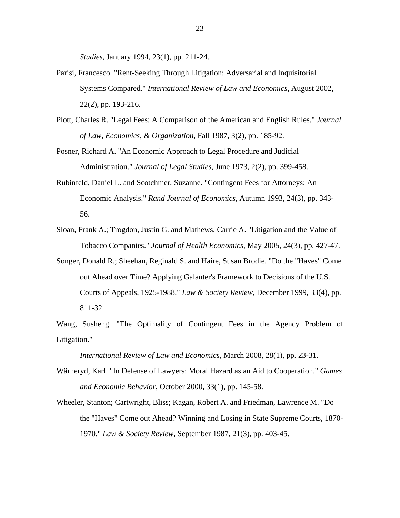*Studies*, January 1994, 23(1), pp. 211-24.

- Parisi, Francesco. "Rent-Seeking Through Litigation: Adversarial and Inquisitorial Systems Compared." *International Review of Law and Economics*, August 2002, 22(2), pp. 193-216.
- Plott, Charles R. "Legal Fees: A Comparison of the American and English Rules." *Journal of Law, Economics, & Organization*, Fall 1987, 3(2), pp. 185-92.
- Posner, Richard A. "An Economic Approach to Legal Procedure and Judicial Administration." *Journal of Legal Studies*, June 1973, 2(2), pp. 399-458.
- Rubinfeld, Daniel L. and Scotchmer, Suzanne. "Contingent Fees for Attorneys: An Economic Analysis." *Rand Journal of Economics*, Autumn 1993, 24(3), pp. 343-56.
- Sloan, Frank A.; Trogdon, Justin G. and Mathews, Carrie A. "Litigation and the Value of Tobacco Companies." *Journal of Health Economics*, May 2005, 24(3), pp. 427-47.
- Songer, Donald R.; Sheehan, Reginald S. and Haire, Susan Brodie. "Do the "Haves" Come out Ahead over Time? Applying Galanter's Framework to Decisions of the U.S. Courts of Appeals, 1925-1988." Law & Society Review, December 1999, 33(4), pp. 811-32.

Wang, Susheng. "The Optimality of Contingent Fees in the Agency Problem of Litigation."

, March 2008, 28(1), pp. 23-31. *International Review of Law and Economics*

- Wärneryd, Karl. "In Defense of Lawyers: Moral Hazard as an Aid to Cooperation." *Games and Economic Behavior*, October 2000, 33(1), pp. 145-58.
- Wheeler, Stanton; Cartwright, Bliss; Kagan, Robert A. and Friedman, Lawrence M. "Do the "Haves" Come out Ahead? Winning and Losing in State Supreme Courts, 1870- 1970." *Law & Society Review*, September 1987, 21(3), pp. 403-45.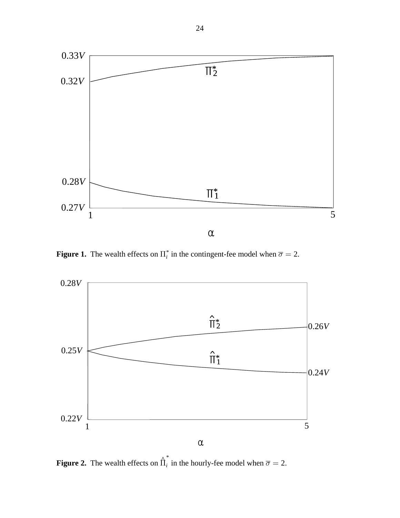

**Figure 1.** The wealth effects on  $\prod_{i=1}^{n}$  in the contingent-fee model when  $\overline{\sigma} = 2$ .



**Figure 2.** The wealth effects on  $\hat{\Pi}_i^*$  in the hourly-fee model when  $\overline{\sigma} = 2$ .  $\frac{1}{i}$  in the hourly-fee model when  $\overline{\sigma} =$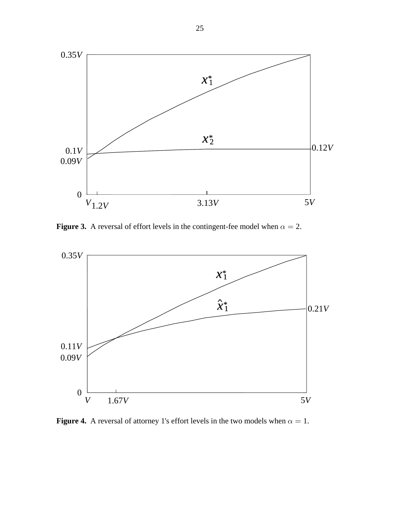

**Figure 3.** A reversal of effort levels in the contingent-fee model when  $\alpha = 2$ .



**Figure 4.** A reversal of attorney 1's effort levels in the two models when  $\alpha = 1$ .